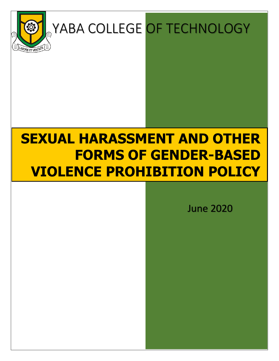

# **YABA COLLEGE OF TECHNOLOGY**

## **SEXUAL HARASSMENT AND OTHER FORMS OF GENDER-BASED VIOLENCE PROHIBITION POLICY**

June 2020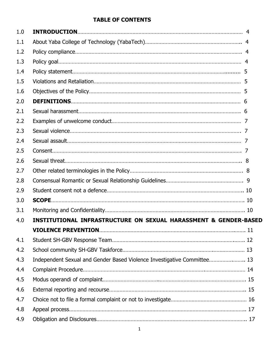## **TABLE OF CONTENTS**

| 1.0 |                                                                             |  |  |  |
|-----|-----------------------------------------------------------------------------|--|--|--|
| 1.1 |                                                                             |  |  |  |
| 1.2 |                                                                             |  |  |  |
| 1.3 |                                                                             |  |  |  |
| 1.4 |                                                                             |  |  |  |
| 1.5 |                                                                             |  |  |  |
| 1.6 |                                                                             |  |  |  |
| 2.0 |                                                                             |  |  |  |
| 2.1 |                                                                             |  |  |  |
| 2.2 |                                                                             |  |  |  |
| 2.3 |                                                                             |  |  |  |
| 2.4 |                                                                             |  |  |  |
| 2.5 |                                                                             |  |  |  |
| 2.6 |                                                                             |  |  |  |
| 2.7 |                                                                             |  |  |  |
| 2.8 |                                                                             |  |  |  |
| 2.9 |                                                                             |  |  |  |
| 3.0 |                                                                             |  |  |  |
| 3.1 |                                                                             |  |  |  |
| 4.0 | <b>INSTITUTIONAL INFRASTRUCTURE ON SEXUAL HARASSMENT &amp; GENDER-BASED</b> |  |  |  |
|     |                                                                             |  |  |  |
| 4.1 |                                                                             |  |  |  |
| 4.2 |                                                                             |  |  |  |
| 4.3 | Independent Sexual and Gender Based Violence Investigative Committee 13     |  |  |  |
| 4.4 |                                                                             |  |  |  |
| 4.5 |                                                                             |  |  |  |
| 4.6 |                                                                             |  |  |  |
| 4.7 |                                                                             |  |  |  |
| 4.8 |                                                                             |  |  |  |
| 4.9 |                                                                             |  |  |  |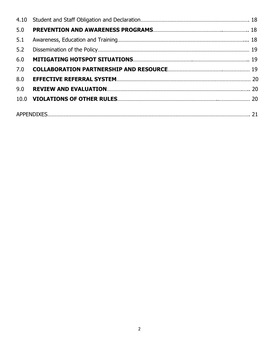| 5.0 |  |
|-----|--|
| 5.1 |  |
| 5.2 |  |
| 6.0 |  |
| 7.0 |  |
| 8.0 |  |
| 9.0 |  |
|     |  |
|     |  |
|     |  |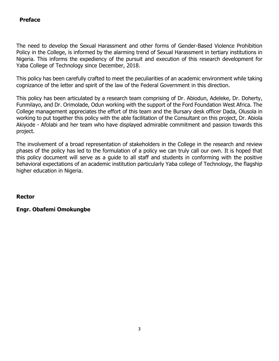## **Preface**

The need to develop the Sexual Harassment and other forms of Gender-Based Violence Prohibition Policy in the College, is informed by the alarming trend of Sexual Harassment in tertiary institutions in Nigeria. This informs the expediency of the pursuit and execution of this research development for Yaba College of Technology since December, 2018.

This policy has been carefully crafted to meet the peculiarities of an academic environment while taking cognizance of the letter and spirit of the law of the Federal Government in this direction.

This policy has been articulated by a research team comprising of Dr. Abiodun, Adeleke, Dr. Doherty, Funmilayo, and Dr. Orimolade, Odun working with the support of the Ford Foundation West Africa. The College management appreciates the effort of this team and the Bursary desk officer Dada, Olusola in working to put together this policy with the able facilitation of the Consultant on this project, Dr. Abiola Akiyode - Afolabi and her team who have displayed admirable commitment and passion towards this project.

The involvement of a broad representation of stakeholders in the College in the research and review phases of the policy has led to the formulation of a policy we can truly call our own. It is hoped that this policy document will serve as a guide to all staff and students in conforming with the positive behavioral expectations of an academic institution particularly Yaba college of Technology, the flagship higher education in Nigeria.

**Rector**

## **Engr. Obafemi Omokungbe**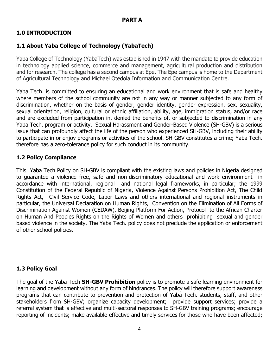## **1.0 INTRODUCTION**

## **1.1 About Yaba College of Technology (YabaTech)**

Yaba College of Technology (YabaTech) was established in 1947 with the mandate to provide education in technology applied science, commerce and management, agricultural production and distribution and for research. The college has a second campus at Epe. The Epe campus is home to the Department of Agricultural Technology and Michael Otedola Information and Communication Centre.

Yaba Tech. is committed to ensuring an educational and work environment that is safe and healthy where members of the school community are not in any way or manner subjected to any form of discrimination, whether on the basis of gender, gender identity, gender expression, sex, sexuality, sexual orientation, religion, cultural or ethnic affiliation, ability, age, immigration status, and/or race and are excluded from participation in, denied the benefits of, or subjected to discrimination in any Yaba Tech. program or activity. Sexual Harassment and Gender-Based Violence (SH-GBV) is a serious issue that can profoundly affect the life of the person who experienced SH-GBV, including their ability to participate in or enjoy programs or activities of the school. SH-GBV constitutes a crime; Yaba Tech. therefore has a zero-tolerance policy for such conduct in its community.

## **1.2 Policy Compliance**

This Yaba Tech Policy on SH-GBV is compliant with the existing laws and policies in Nigeria designed to guarantee a violence free, safe and non-discriminatory educational and work environment in accordance with international, regional and national legal frameworks, in particular; the 1999 Constitution of the Federal Republic of Nigeria, Violence Against Persons Prohibition Act, The Child Rights Act, Civil Service Code, Labor Laws and others international and regional instruments in particular, the Universal Declaration on Human Rights, Convention on the Elimination of All Forms of Discrimination Against Women (CEDAW), Beijing Platform For Action, Protocol to the African Charter on Human And Peoples Rights on the Rights of Women and others prohibiting sexual and gender based violence in the society. The Yaba Tech. policy does not preclude the application or enforcement of other school policies.

## **1.3 Policy Goal**

The goal of the Yaba Tech **SH-GBV Prohibition** policy is to promote a safe learning environment for learning and development without any form of hindrances. The policy will therefore support awareness programs that can contribute to prevention and protection of Yaba Tech. students, staff, and other stakeholders from SH-GBV; organize capacity development; provide support services; provide a referral system that is effective and multi-sectoral responses to SH-GBV training programs; encourage reporting of incidents; make available effective and timely services for those who have been affected;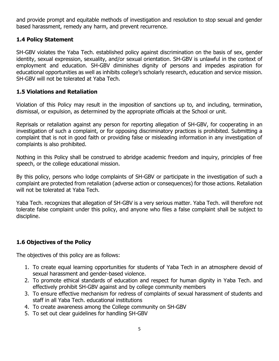and provide prompt and equitable methods of investigation and resolution to stop sexual and gender based harassment, remedy any harm, and prevent recurrence.

#### **1.4 Policy Statement**

SH-GBV violates the Yaba Tech. established policy against discrimination on the basis of sex, gender identity, sexual expression, sexuality, and/or sexual orientation. SH-GBV is unlawful in the context of employment and education. SH-GBV diminishes dignity of persons and impedes aspiration for educational opportunities as well as inhibits college's scholarly research, education and service mission. SH-GBV will not be tolerated at Yaba Tech.

#### **1.5 Violations and Retaliation**

Violation of this Policy may result in the imposition of sanctions up to, and including, termination, dismissal, or expulsion, as determined by the appropriate officials at the School or unit.

Reprisals or retaliation against any person for reporting allegation of SH-GBV, for cooperating in an investigation of such a complaint, or for opposing discriminatory practices is prohibited. Submitting a complaint that is not in good faith or providing false or misleading information in any investigation of complaints is also prohibited.

Nothing in this Policy shall be construed to abridge academic freedom and inquiry, principles of free speech, or the college educational mission.

By this policy, persons who lodge complaints of SH-GBV or participate in the investigation of such a complaint are protected from retaliation (adverse action or consequences) for those actions. Retaliation will not be tolerated at Yaba Tech.

Yaba Tech. recognizes that allegation of SH-GBV is a very serious matter. Yaba Tech. will therefore not tolerate false complaint under this policy, and anyone who files a false complaint shall be subject to discipline.

## **1.6 Objectives of the Policy**

The objectives of this policy are as follows:

- 1. To create equal learning opportunities for students of Yaba Tech in an atmosphere devoid of sexual harassment and gender-based violence.
- 2. To promote ethical standards of education and respect for human dignity in Yaba Tech. and effectively prohibit SH-GBV against and by college community members
- 3. To ensure effective mechanism for redress of complaints of sexual harassment of students and staff in all Yaba Tech. educational institutions
- 4. To create awareness among the College community on SH-GBV
- 5. To set out clear guidelines for handling SH-GBV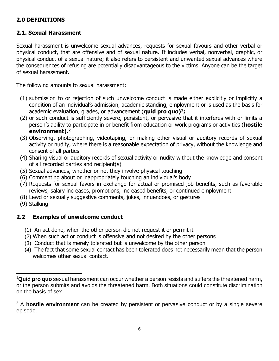## **2.0 DEFINITIONS**

#### **2.1. Sexual Harassment**

Sexual harassment is unwelcome sexual advances, requests for sexual favours and other verbal or physical conduct, that are offensive and of sexual nature. It includes verbal, nonverbal, graphic, or physical conduct of a sexual nature; it also refers to persistent and unwanted sexual advances where the consequences of refusing are potentially disadvantageous to the victims. Anyone can be the target of sexual harassment.

The following amounts to sexual harassment:

- (1) submission to or rejection of such unwelcome conduct is made either explicitly or implicitly a condition of an individual's admission, academic standing, employment or is used as the basis for academic evaluation, grades, or advancement (**quid pro quo)<sup>1</sup> ;**
- (2) or such conduct is sufficiently severe, persistent, or pervasive that it interferes with or limits a person's ability to participate in or benefit from education or work programs or activities (**hostile environment).<sup>2</sup>**
- (3) Observing, photographing, videotaping, or making other visual or auditory records of sexual activity or nudity, where there is a reasonable expectation of privacy, without the knowledge and consent of all parties
- (4) Sharing visual or auditory records of sexual activity or nudity without the knowledge and consent of all recorded parties and recipient(s)
- (5) Sexual advances, whether or not they involve physical touching
- (6) Commenting about or inappropriately touching an individual's body
- (7) Requests for sexual favors in exchange for actual or promised job benefits, such as favorable reviews, salary increases, promotions, increased benefits, or continued employment
- (8) Lewd or sexually suggestive comments, jokes, innuendoes, or gestures
- (9) Stalking

l

## **2.2 Examples of unwelcome conduct**

- (1) An act done, when the other person did not request it or permit it
- (2) When such act or conduct is offensive and not desired by the other persons
- (3) Conduct that is merely tolerated but is unwelcome by the other person
- (4) The fact that some sexual contact has been tolerated does not necessarily mean that the person welcomes other sexual contact.

<sup>1</sup>**Quid pro quo** sexual harassment can occur whether a person resists and suffers the threatened harm, or the person submits and avoids the threatened harm. Both situations could constitute discrimination on the basis of sex.

<sup>2</sup> A **hostile environment** can be created by persistent or pervasive conduct or by a single severe episode.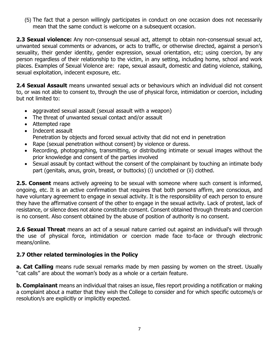(5) The fact that a person willingly participates in conduct on one occasion does not necessarily mean that the same conduct is welcome on a subsequent occasion.

**2.3 Sexual violence:** Any non-consensual sexual act, attempt to obtain non-consensual sexual act, unwanted sexual comments or advances, or acts to traffic, or otherwise directed, against a person's sexuality, their gender identity, gender expression, sexual orientation, etc; using coercion, by any person regardless of their relationship to the victim, in any setting, including home, school and work places. Examples of Sexual Violence are: rape, sexual assault, domestic and dating violence, stalking, sexual exploitation, indecent exposure, etc.

**2.4 Sexual Assault** means unwanted sexual acts or behaviours which an individual did not consent to, or was not able to consent to, through the use of physical force, intimidation or coercion, including but not limited to:

- aggravated sexual assault (sexual assault with a weapon)
- The threat of unwanted sexual contact and/or assault
- Attempted rape
- Indecent assault Penetration by objects and forced sexual activity that did not end in penetration
- Rape (sexual penetration without consent) by violence or duress.
- Recording, photographing, transmitting, or distributing intimate or sexual images without the prior knowledge and consent of the parties involved
- Sexual assault by contact without the consent of the complainant by touching an intimate body part (genitals, anus, groin, breast, or buttocks) (i) unclothed or (ii) clothed.

**2.5. Consent** means actively agreeing to be sexual with someone where such consent is informed, ongoing, etc. It is an active confirmation that requires that both persons affirm, are conscious, and have voluntary agreement to engage in sexual activity. It is the responsibility of each person to ensure they have the affirmative consent of the other to engage in the sexual activity. Lack of protest, lack of resistance, or silence does not alone constitute consent. Consent obtained through threats and coercion is no consent. Also consent obtained by the abuse of position of authority is no consent.

**2.6 Sexual Threat** means an act of a sexual nature carried out against an individual's will through the use of physical force, intimidation or coercion made face to-face or through electronic means/online.

## **2.7 Other related terminologies in the Policy**

**a. Cat Calling** means rude sexual remarks made by men [passing](https://www.urbandictionary.com/define.php?term=passing) by women [on the street.](https://www.urbandictionary.com/define.php?term=on%20the%20street) Usually "cat calls" are about the woman's body as a whole or a certain [feature.](https://www.urbandictionary.com/define.php?term=feature)

**b. Complainant** means an individual that raises an issue, files report providing a notification or making a complaint about a matter that they wish the College to consider and for which specific outcome/s or resolution/s are explicitly or implicitly expected.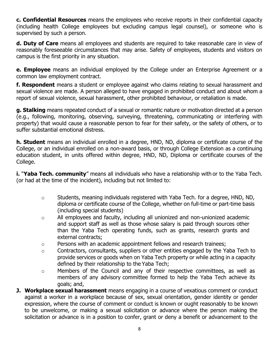**c. Confidential Resources** means the employees who receive reports in their confidential capacity (including health College employees but excluding campus legal counsel), or someone who is supervised by such a person.

**d. Duty of Care** means all employees and students are required to take reasonable care in view of reasonably foreseeable circumstances that may arise. Safety of employees, students and visitors on campus is the first priority in any situation.

**e. Employee** means an individual employed by the College under an Enterprise Agreement or a common law employment contract.

**f. Respondent** means a student or employee against who claims relating to sexual harassment and sexual violence are made. A person alleged to have engaged in prohibited conduct and about whom a report of sexual violence, sexual harassment, other prohibited behaviour, or retaliation is made.

**g. Stalking** means repeated conduct of a sexual or romantic nature or motivation directed at a person (e.g., following, monitoring, observing, surveying, threatening, communicating or interfering with property) that would cause a reasonable person to fear for their safety, or the safety of others, or to suffer substantial emotional distress.

**h. Student** means an individual enrolled in a degree, HND, ND, diploma or certificate course of the College, or an individual enrolled on a non-award basis, or through College Extension as a continuing education student, in units offered within degree, HND, ND, Diploma or certificate courses of the College.

**i.** "**Yaba Tech. community**" means all individuals who have a relationship with or to the Yaba Tech. (or had at the time of the incident), including but not limited to:

- o Students, meaning individuals registered with Yaba Tech. for a degree, HND, ND, diploma or certificate course of the College, whether on full-time or part-time basis (including special students)
- o All employees and faculty, including all unionized and non-unionized academic and support staff as well as those whose salary is paid through sources other than the Yaba Tech operating funds, such as grants, research grants and external contracts;
- o Persons with an academic appointment fellows and research trainees;
- o Contractors, consultants, suppliers or other entities engaged by the Yaba Tech to provide services or goods when on Yaba Tech property or while acting in a capacity defined by their relationship to the Yaba Tech;
- o Members of the Council and any of their respective committees, as well as members of any advisory committee formed to help the Yaba Tech achieve its goals; and,
- **J. Workplace sexual harassment** means engaging in a course of vexatious comment or conduct against a worker in a workplace because of sex, sexual orientation, gender identity or gender expression, where the course of comment or conduct is known or ought reasonably to be known to be unwelcome, or making a sexual solicitation or advance where the person making the solicitation or advance is in a position to confer, grant or deny a benefit or advancement to the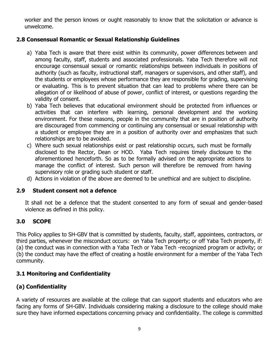worker and the person knows or ought reasonably to know that the solicitation or advance is unwelcome.

## **2.8 Consensual Romantic or Sexual Relationship Guidelines**

- a) Yaba Tech is aware that there exist within its community, power differences between and among faculty, staff, students and associated professionals. Yaba Tech therefore will not encourage consensual sexual or romantic relationships between individuals in positions of authority (such as faculty, instructional staff, managers or supervisors, and other staff), and the students or employees whose performance they are responsible for grading, supervising or evaluating. This is to prevent situation that can lead to problems where there can be allegation of or likelihood of abuse of power, conflict of interest, or questions regarding the validity of consent.
- b) Yaba Tech believes that educational environment should be protected from influences or activities that can interfere with learning, personal development and the working environment. For these reasons, people in the community that are in position of authority are discouraged from commencing or continuing any consensual or sexual relationship with a student or employee they are in a position of authority over and emphasizes that such relationships are to be avoided.
- c) Where such sexual relationships exist or past relationship occurs, such must be formally disclosed to the Rector, Dean or HOD. Yaba Tech requires timely disclosure to the aforementioned henceforth. So as to be formally advised on the appropriate actions to manage the conflict of interest. Such person will therefore be removed from having supervisory role or grading such student or staff.
- d) Actions in violation of the above are deemed to be unethical and are subject to discipline.

#### **2.9 Student consent not a defence**

It shall not be a defence that the student consented to any form of sexual and gender-based violence as defined in this policy.

#### **3.0 SCOPE**

This Policy applies to SH-GBV that is committed by students, faculty, staff, appointees, contractors, or third parties, whenever the misconduct occurs: on Yaba Tech property; or off Yaba Tech property, if: (a) the conduct was in connection with a Yaba Tech or Yaba Tech -recognized program or activity; or (b) the conduct may have the effect of creating a hostile environment for a member of the Yaba Tech community.

#### **3.1 Monitoring and Confidentiality**

## **(a) Confidentiality**

A variety of resources are available at the college that can support students and educators who are facing any forms of SH-GBV. Individuals considering making a disclosure to the college should make sure they have informed expectations concerning privacy and confidentiality. The college is committed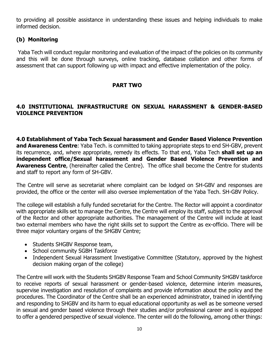to providing all possible assistance in understanding these issues and helping individuals to make informed decision.

#### **(b) Monitoring**

Yaba Tech will conduct regular monitoring and evaluation of the impact of the policies on its community and this will be done through surveys, online tracking, database collation and other forms of assessment that can support following up with impact and effective implementation of the policy.

#### **PART TWO**

#### **4.0 INSTITUTIONAL INFRASTRUCTURE ON SEXUAL HARASSMENT & GENDER-BASED VIOLENCE PREVENTION**

**4.0 Establishment of Yaba Tech Sexual harassment and Gender Based Violence Prevention and Awareness Centre**: Yaba Tech. is committed to taking appropriate steps to end SH-GBV, prevent its recurrence, and, where appropriate, remedy its effects. To that end, Yaba Tech **shall set up an independent office/Sexual harassment and Gender Based Violence Prevention and Awareness Centre**, (hereinafter called the Centre). The office shall become the Centre for students and staff to report any form of SH-GBV.

The Centre will serve as secretariat where complaint can be lodged on SH-GBV and responses are provided, the office or the center will also oversee implementation of the Yaba Tech. SH-GBV Policy.

The college will establish a fully funded secretariat for the Centre. The Rector will appoint a coordinator with appropriate skills set to manage the Centre, the Centre will employ its staff, subject to the approval of the Rector and other appropriate authorities. The management of the Centre will include at least two external members who have the right skills set to support the Centre as ex-officio. There will be three major voluntary organs of the SHGBV Centre;

- Students SHGBV Response team,
- School community SGBH Taskforce
- Independent Sexual Harassment Investigative Committee (Statutory, approved by the highest decision making organ of the college)

The Centre will work with the Students SHGBV Response Team and School Community SHGBV taskforce to receive reports of sexual harassment or gender-based violence, determine interim measures, supervise investigation and resolution of complaints and provide information about the policy and the procedures. The Coordinator of the Centre shall be an experienced administrator, trained in identifying and responding to SHGBV and its harm to equal educational opportunity as well as be someone versed in sexual and gender based violence through their studies and/or professional career and is equipped to offer a gendered perspective of sexual violence. The center will do the following, among other things: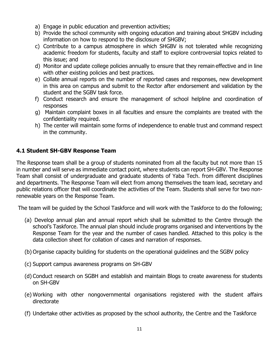- a) Engage in public education and prevention activities;
- b) Provide the school community with ongoing education and training about SHGBV including information on how to respond to the disclosure of SHGBV;
- c) Contribute to a campus atmosphere in which SHGBV is not tolerated while recognizing academic freedom for students, faculty and staff to explore controversial topics related to this issue; and
- d) Monitor and update college policies annually to ensure that they remain effective and in line with other existing policies and best practices.
- e) Collate annual reports on the number of reported cases and responses, new development in this area on campus and submit to the Rector after endorsement and validation by the student and the SGBV task force.
- f) Conduct research and ensure the management of school helpline and coordination of responses
- g) Maintain complaint boxes in all faculties and ensure the complaints are treated with the confidentiality required.
- h) The center will maintain some forms of independence to enable trust and command respect in the community.

## **4.1 Student SH-GBV Response Team**

The Response team shall be a group of students nominated from all the faculty but not more than 15 in number and will serve as immediate contact point, where students can report SH-GBV. The Response Team shall consist of undergraduate and graduate students of Yaba Tech. from different disciplines and departments. The Response Team will elect from among themselves the team lead, secretary and public relations officer that will coordinate the activities of the Team. Students shall serve for two nonrenewable years on the Response Team.

The team will be guided by the School Taskforce and will work with the Taskforce to do the following;

- (a) Develop annual plan and annual report which shall be submitted to the Centre through the school's Taskforce. The annual plan should include programs organised and interventions by the Response Team for the year and the number of cases handled. Attached to this policy is the data collection sheet for collation of cases and narration of responses.
- (b) Organise capacity building for students on the operational guidelines and the SGBV policy
- (c) Support campus awareness programs on SH-GBV
- (d) Conduct research on SGBH and establish and maintain Blogs to create awareness for students on SH-GBV
- (e) Working with other nongovernmental organisations registered with the student affairs directorate
- (f) Undertake other activities as proposed by the school authority, the Centre and the Taskforce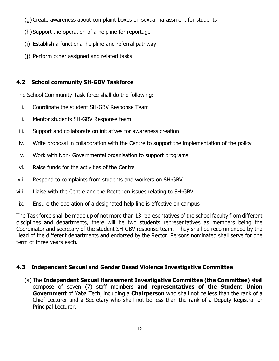- (g) Create awareness about complaint boxes on sexual harassment for students
- (h) Support the operation of a helpline for reportage
- (i) Establish a functional helpline and referral pathway
- (j) Perform other assigned and related tasks

## **4.2 School community SH-GBV Taskforce**

The School Community Task force shall do the following:

- i. Coordinate the student SH-GBV Response Team
- ii. Mentor students SH-GBV Response team
- iii. Support and collaborate on initiatives for awareness creation
- iv. Write proposal in collaboration with the Centre to support the implementation of the policy
- v. Work with Non- Governmental organisation to support programs
- vi. Raise funds for the activities of the Centre
- vii. Respond to complaints from students and workers on SH-GBV
- viii. Liaise with the Centre and the Rector on issues relating to SH-GBV
- ix. Ensure the operation of a designated help line is effective on campus

The Task force shall be made up of not more than 13 representatives of the school faculty from different disciplines and departments, there will be two students representatives as members being the Coordinator and secretary of the student SH-GBV response team. They shall be recommended by the Head of the different departments and endorsed by the Rector. Persons nominated shall serve for one term of three years each.

## **4.3 Independent Sexual and Gender Based Violence Investigative Committee**

(a) The **Independent Sexual Harassment Investigative Committee (the Committee)** shall compose of seven (7) staff members **and representatives of the Student Union Government** of Yaba Tech, including a **Chairperson** who shall not be less than the rank of a Chief Lecturer and a Secretary who shall not be less than the rank of a Deputy Registrar or Principal Lecturer.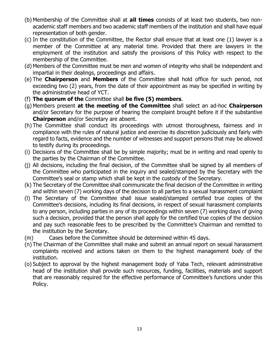- (b) Membership of the Committee shall at **all times** consists of at least two students, two nonacademic staff members and two academic staff members of the institution and shall have equal representation of both gender.
- (c) In the constitution of the Committee, the Rector shall ensure that at least one (1) lawyer is a member of the Committee at any material time. Provided that there are lawyers in the employment of the institution and satisfy the provisions of this Policy with respect to the membership of the Committee.
- (d) Members of the Committee must be men and women of integrity who shall be independent and impartial in their dealings, proceedings and affairs.
- (e) The **Chairperson** and **Members** of the Committee shall hold office for such period, not exceeding two (2) years, from the date of their appointment as may be specified in writing by the administrative head of YCT.
- (f) **The quorum of the** Committee shall **be five (5) members**.
- (g) Members present **at the meeting of the Committee** shall select an ad-hoc **Chairperson** and/or Secretary for the purpose of hearing the complaint brought before it if the substantive **Chairperson** and/or Secretary are absent.
- (h) The Committee shall conduct its proceedings with utmost thoroughness, fairness and in compliance with the rules of natural justice and exercise its discretion judiciously and fairly with regard to facts, evidence and the number of witnesses and support persons that may be allowed to testify during its proceedings.
- (i) Decisions of the Committee shall be by simple majority; must be in writing and read openly to the parties by the Chairman of the Committee.
- (j) All decisions, including the final decision, of the Committee shall be signed by all members of the Committee who participated in the inquiry and sealed/stamped by the Secretary with the Committee's seal or stamp which shall be kept in the custody of the Secretary.
- (k) The Secretary of the Committee shall communicate the final decision of the Committee in writing and within seven (7) working days of the decision to all parties to a sexual harassment complaint
- (l) The Secretary of the Committee shall issue sealed/stamped certified true copies of the Committee's decisions, including its final decisions, in respect of sexual harassment complaints to any person, including parties in any of its proceedings within seven (7) working days of giving such a decision, provided that the person shall apply for the certified true copies of the decision and pay such reasonable fees to be prescribed by the Committee's Chairman and remitted to the institution by the Secretary.
- (m) Cases before the Committee should be determined within 45 days.
- (n) The Chairman of the Committee shall make and submit an annual report on sexual harassment complaints received and actions taken on them to the highest management body of the institution.
- (o) Subject to approval by the highest management body of Yaba Tech, relevant administrative head of the institution shall provide such resources, funding, facilities, materials and support that are reasonably required for the effective performance of Committee's functions under this Policy.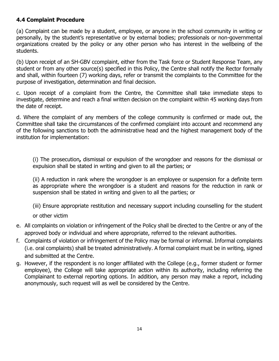## **4.4 Complaint Procedure**

(a) Complaint can be made by a student, employee, or anyone in the school community in writing or personally, by the student's representative or by external bodies; professionals or non-governmental organizations created by the policy or any other person who has interest in the wellbeing of the students.

(b) Upon receipt of an SH-GBV ccomplaint, either from the Task force or Student Response Team, any student or from any other source(s) specified in this Policy, the Centre shall notify the Rector formally and shall, within fourteen (7) working days, refer or transmit the complaints to the Committee for the purpose of investigation, determination and final decision.

c. Upon receipt of a complaint from the Centre, the Committee shall take immediate steps to investigate, determine and reach a final written decision on the complaint within 45 working days from the date of receipt.

d. Where the complaint of any members of the college community is confirmed or made out, the Committee shall take the circumstances of the confirmed complaint into account and recommend any of the following sanctions to both the administrative head and the highest management body of the institution for implementation:

(i) The prosecution**,** dismissal or expulsion of the wrongdoer and reasons for the dismissal or expulsion shall be stated in writing and given to all the parties; or

(ii) A reduction in rank where the wrongdoer is an employee or suspension for a definite term as appropriate where the wrongdoer is a student and reasons for the reduction in rank or suspension shall be stated in writing and given to all the parties; or

(iii) Ensure appropriate restitution and necessary support including counselling for the student

or other victim

- e. All complaints on violation or infringement of the Policy shall be directed to the Centre or any of the approved body or individual and where appropriate, referred to the relevant authorities.
- f. Complaints of violation or infringement of the Policy may be formal or informal. Informal complaints (i.e. oral complaints) shall be treated administratively. A formal complaint must be in writing, signed and submitted at the Centre.
- g. However, if the respondent is no longer affiliated with the College (e.g., former student or former employee), the College will take appropriate action within its authority, including referring the Complainant to external reporting options. In addition, any person may make a report, including anonymously, such request will as well be considered by the Centre.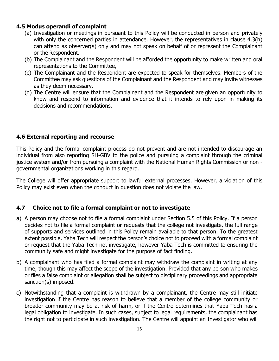#### **4.5 Modus operandi of complaint**

- (a) Investigation or meetings in pursuant to this Policy will be conducted in person and privately with only the concerned parties in attendance. However, the representatives in clause 4.3(h) can attend as observer(s) only and may not speak on behalf of or represent the Complainant or the Respondent.
- (b) The Complainant and the Respondent will be afforded the opportunity to make written and oral representations to the Committee,
- (c) The Complainant and the Respondent are expected to speak for themselves. Members of the Committee may ask questions of the Complainant and the Respondent and may invite witnesses as they deem necessary.
- (d) The Centre will ensure that the Complainant and the Respondent are given an opportunity to know and respond to information and evidence that it intends to rely upon in making its decisions and recommendations.

#### **4.6 External reporting and recourse**

This Policy and the formal complaint process do not prevent and are not intended to discourage an individual from also reporting SH-GBV to the police and pursuing a complaint through the criminal justice system and/or from pursuing a complaint with the National Human Rights Commission or non governmental organizations working in this regard.

The College will offer appropriate support to lawful external processes. However, a violation of this Policy may exist even when the conduct in question does not violate the law.

## **4.7 Choice not to file a formal complaint or not to investigate**

- a) A person may choose not to file a formal complaint under Section 5.5 of this Policy. If a person decides not to file a formal complaint or requests that the college not investigate, the full range of supports and services outlined in this Policy remain available to that person. To the greatest extent possible, Yaba Tech will respect the person's choice not to proceed with a formal complaint or request that the Yaba Tech not investigate, however Yaba Tech is committed to ensuring the community safe and might investigate for the purpose of fact finding.
- b) A complainant who has filed a formal complaint may withdraw the complaint in writing at any time, though this may affect the scope of the investigation. Provided that any person who makes or files a false complaint or allegation shall be subject to disciplinary proceedings and appropriate sanction(s) imposed.
- c) Notwithstanding that a complaint is withdrawn by a complainant, the Centre may still initiate investigation if the Centre has reason to believe that a member of the college community or broader community may be at risk of harm, or if the Centre determines that Yaba Tech has a legal obligation to investigate. In such cases, subject to legal requirements, the complainant has the right not to participate in such investigation. The Centre will appoint an Investigator who will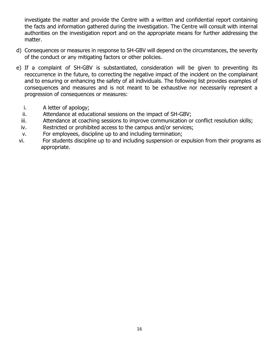investigate the matter and provide the Centre with a written and confidential report containing the facts and information gathered during the investigation. The Centre will consult with internal authorities on the investigation report and on the appropriate means for further addressing the matter.

- d) Consequences or measures in response to SH-GBV will depend on the circumstances, the severity of the conduct or any mitigating factors or other policies.
- e) If a complaint of SH-GBV is substantiated, consideration will be given to preventing its reoccurrence in the future, to correcting the negative impact of the incident on the complainant and to ensuring or enhancing the safety of all individuals. The following list provides examples of consequences and measures and is not meant to be exhaustive nor necessarily represent a progression of consequences or measures:
	- i. A letter of apology;
	- ii. Attendance at educational sessions on the impact of SH-GBV;
	- iii. Attendance at coaching sessions to improve communication or conflict resolution skills;
	- iv. Restricted or prohibited access to the campus and/or services;
	- v. For employees, discipline up to and including termination;
- vi. For students discipline up to and including suspension or expulsion from their programs as appropriate.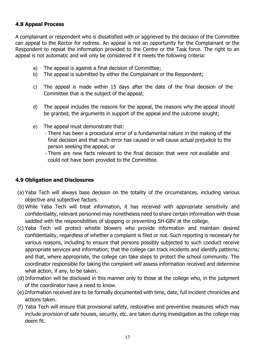## **4.8 Appeal Process**

A complainant or respondent who is dissatisfied with or aggrieved by the decision of the Committee can appeal to the Rector for redress. An appeal is not an opportunity for the Complainant or the Respondent to repeat the information provided to the Centre or the Task force. The right to an appeal is not automatic and will only be considered if it meets the following criteria:

- a) The appeal is against a final decision of Committee;
- b) The appeal is submitted by either the Complainant or the Respondent;
- c) The appeal is made within 15 days after the date of the final decision of the Committee that is the subject of the appeal;
- d) The appeal includes the reasons for the appeal, the reasons why the appeal should be granted, the arguments in support of the appeal and the outcome sought;
- e) The appeal must demonstrate that:
	- There has been a procedural error of a fundamental nature in the making of the final decision and that such error has caused or will cause actual prejudice to the person seeking the appeal, or
	- There are new facts relevant to the final decision that were not available and could not have been provided to the Committee.

## **4.9 Obligation and Disclosures**

- (a) Yaba Tech will always base decision on the totality of the circumstances, including various objective and subjective factors.
- (b) While Yaba Tech will treat information, it has received with appropriate sensitivity and confidentiality, relevant personnel may nonetheless need to share certain information with those saddled with the responsibilities of stopping or preventing SH-GBV at the college.
- (c) Yaba Tech will protect whistle blowers who provide information and maintain desired confidentiality, regardless of whether a complaint is filed or not. Such reporting is necessary for various reasons, including to ensure that persons possibly subjected to such conduct receive appropriate services and information; that the college can track incidents and identify patterns; and that, where appropriate, the college can take steps to protect the school community. The coordinator responsible for taking the complaint will assess information received and determine what action, if any, to be taken.
- (d)Information will be disclosed in this manner only to those at the college who, in the judgment of the coordinator have a need to know.
- (e) Information received are to be formally documented with time, date, full incident chronicles and actions taken.
- (f) Yaba Tech will ensure that provisional safety, restorative and preventive measures which may include provision of safe houses, security, etc. are taken during investigation as the college may deem fit.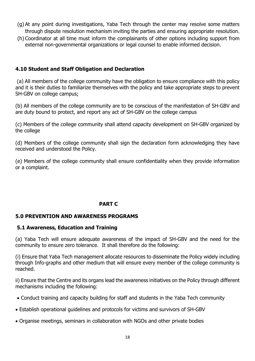- (g) At any point during investigations, Yaba Tech through the center may resolve some matters through dispute resolution mechanism inviting the parties and ensuring appropriate resolution.
- (h) Coordinator at all time must inform the complainants of other options including support from external non-governmental organizations or legal counsel to enable informed decision.

#### **4.10 Student and Staff Obligation and Declaration**

(a) All members of the college community have the obligation to ensure compliance with this policy and it is their duties to familiarize themselves with the policy and take appropriate steps to prevent SH-GBV on college campus;

(b) All members of the college community are to be conscious of the manifestation of SH-GBV and are duty bound to protect, and report any act of SH-GBV on the college campus

(c) Members of the college community shall attend capacity development on SH-GBV organized by the college

(d) Members of the college community shall sign the declaration form acknowledging they have received and understood the Policy.

(e) Members of the college community shall ensure confidentiality when they provide information or a complaint.

## **PART C**

## **5.0 PREVENTION AND AWARENESS PROGRAMS**

#### **5.1 Awareness, Education and Training**

(a) Yaba Tech will ensure adequate awareness of the impact of SH-GBV and the need for the community to ensure zero tolerance. It shall therefore do the following:

(i) Ensure that Yaba Tech management allocate resources to disseminate the Policy widely including through Info-graphs and other medium that will ensure every member of the college community is reached.

ii) Ensure that the Centre and its organs lead the awareness initiatives on the Policy through different mechanisms including the following:

- Conduct training and capacity building for staff and students in the Yaba Tech community
- Establish operational guidelines and protocols for victims and survivors of SH-GBV
- Organise meetings, seminars in collaboration with NGOs and other private bodies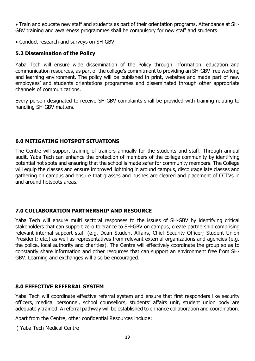Train and educate new staff and students as part of their orientation programs. Attendance at SH-GBV training and awareness programmes shall be compulsory for new staff and students

Conduct research and surveys on SH-GBV.

## **5.2 Dissemination of the Policy**

Yaba Tech will ensure wide dissemination of the Policy through information, education and communication resources, as part of the college's commitment to providing an SH-GBV free working and learning environment. The policy will be published in print, websites and made part of new employees' and students orientations programmes and disseminated through other appropriate channels of communications.

Every person designated to receive SH-GBV complaints shall be provided with training relating to handling SH-GBV matters.

## **6.0 MITIGATING HOTSPOT SITUATIONS**

The Centre will support training of trainers annually for the students and staff. Through annual audit, Yaba Tech can enhance the protection of members of the college community by identifying potential hot spots and ensuring that the school is made safer for community members. The College will equip the classes and ensure improved lightning in around campus, discourage late classes and gathering on campus and ensure that grasses and bushes are cleared and placement of CCTVs in and around hotspots areas.

## **7.0 COLLABORATION PARTNERSHIP AND RESOURCE**

Yaba Tech will ensure multi sectoral responses to the issues of SH-GBV by identifying critical stakeholders that can support zero tolerance to SH-GBV on campus, create partnership comprising relevant internal support staff (e.g. Dean Student Affairs, Chief Security Officer; Student Union President; etc.) as well as representatives from relevant external organizations and agencies (e.g. the police, local authority and charities). The Centre will effectively coordinate the group so as to constantly share information and other resources that can support an environment free from SH-GBV. Learning and exchanges will also be encouraged.

## **8.0 EFFECTIVE REFERRAL SYSTEM**

Yaba Tech will coordinate effective referral system and ensure that first responders like security officers, medical personnel, school counsellors, students' affairs unit, student union body are adequately trained. A referral pathway will be established to enhance collaboration and coordination.

Apart from the Centre, other confidential Resources include:

i) Yaba Tech Medical Centre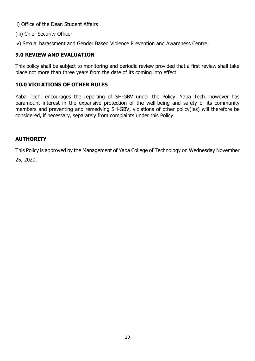ii) Office of the Dean Student Affairs

(iii) Chief Security Officer

iv) Sexual harassment and Gender Based Violence Prevention and Awareness Centre.

## **9.0 REVIEW AND EVALUATION**

This policy shall be subject to monitoring and periodic review provided that a first review shall take place not more than three years from the date of its coming into effect.

## **10.0 VIOLATIONS OF OTHER RULES**

Yaba Tech. encourages the reporting of SH-GBV under the Policy. Yaba Tech. however has paramount interest in the expansive protection of the well-being and safety of its community members and preventing and remedying SH-GBV, violations of other policy(ies) will therefore be considered, if necessary, separately from complaints under this Policy.

## **AUTHORITY**

This Policy is approved by the Management of Yaba College of Technology on Wednesday November

25, 2020.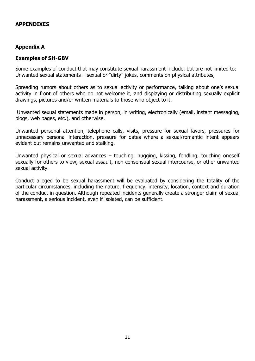#### **APPENDIXES**

#### **Appendix A**

#### **Examples of SH-GBV**

Some examples of conduct that may constitute sexual harassment include, but are not limited to: Unwanted sexual statements – sexual or "dirty" jokes, comments on physical attributes,

Spreading rumors about others as to sexual activity or performance, talking about one's sexual activity in front of others who do not welcome it, and displaying or distributing sexually explicit drawings, pictures and/or written materials to those who object to it.

Unwanted sexual statements made in person, in writing, electronically (email, instant messaging, blogs, web pages, etc.), and otherwise.

Unwanted personal attention, telephone calls, visits, pressure for sexual favors, pressures for unnecessary personal interaction, pressure for dates where a sexual/romantic intent appears evident but remains unwanted and stalking.

Unwanted physical or sexual advances – touching, hugging, kissing, fondling, touching oneself sexually for others to view, sexual assault, non-consensual sexual intercourse, or other unwanted sexual activity.

Conduct alleged to be sexual harassment will be evaluated by considering the totality of the particular circumstances, including the nature, frequency, intensity, location, context and duration of the conduct in question. Although repeated incidents generally create a stronger claim of sexual harassment, a serious incident, even if isolated, can be sufficient.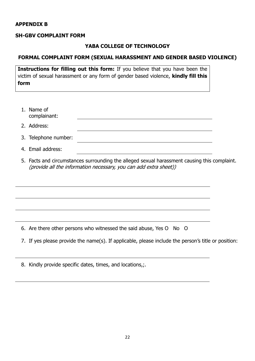#### **APPENDIX B**

#### **SH-GBV COMPLAINT FORM**

#### **YABA COLLEGE OF TECHNOLOGY**

#### **FORMAL COMPLAINT FORM (SEXUAL HARASSMENT AND GENDER BASED VIOLENCE)**

**Instructions for filling out this form:** If you believe that you have been the victim of sexual harassment or any form of gender based violence, **kindly fill this form**

| 1. Name of<br>complainant: |  |
|----------------------------|--|
| 2. Address:                |  |
| 3. Telephone number:       |  |

- 4. Email address:
- 5. Facts and circumstances surrounding the alleged sexual harassment causing this complaint. (provide all the information necessary, you can add extra sheet))

6. Are there other persons who witnessed the said abuse, Yes O No O

- 7. If yes please provide the name(s). If applicable, please include the person's title or position:
- 8. Kindly provide specific dates, times, and locations,;.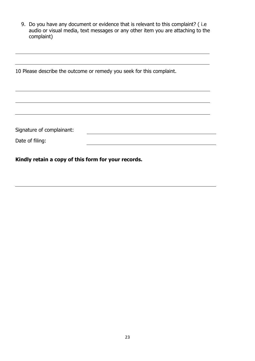9. Do you have any document or evidence that is relevant to this complaint? ( i.e audio or visual media, text messages or any other item you are attaching to the complaint)

10 Please describe the outcome or remedy you seek for this complaint. Signature of complainant: Date of filing:

**Kindly retain a copy of this form for your records.**